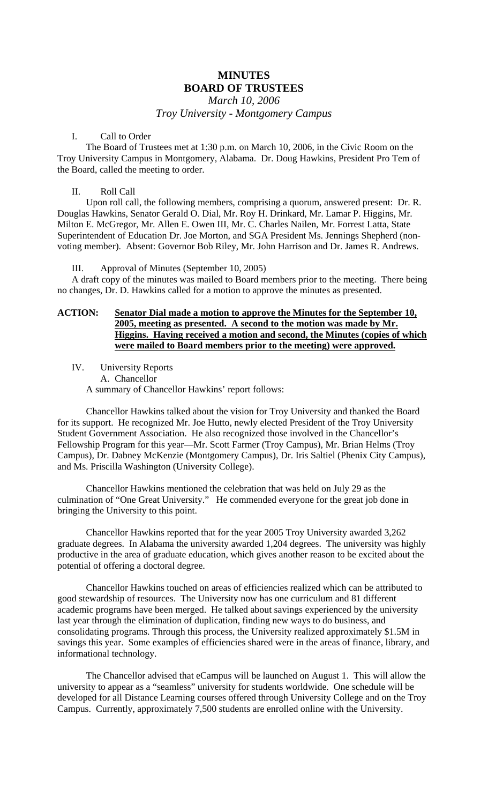# **MINUTES BOARD OF TRUSTEES**

*March 10, 2006 Troy University - Montgomery Campus* 

#### I. Call to Order

The Board of Trustees met at 1:30 p.m. on March 10, 2006, in the Civic Room on the Troy University Campus in Montgomery, Alabama. Dr. Doug Hawkins, President Pro Tem of the Board, called the meeting to order.

#### II. Roll Call

Upon roll call, the following members, comprising a quorum, answered present: Dr. R. Douglas Hawkins, Senator Gerald O. Dial, Mr. Roy H. Drinkard, Mr. Lamar P. Higgins, Mr. Milton E. McGregor, Mr. Allen E. Owen III, Mr. C. Charles Nailen, Mr. Forrest Latta, State Superintendent of Education Dr. Joe Morton, and SGA President Ms. Jennings Shepherd (nonvoting member). Absent: Governor Bob Riley, Mr. John Harrison and Dr. James R. Andrews.

III. Approval of Minutes (September 10, 2005)

A draft copy of the minutes was mailed to Board members prior to the meeting. There being no changes, Dr. D. Hawkins called for a motion to approve the minutes as presented.

# **ACTION: Senator Dial made a motion to approve the Minutes for the September 10, 2005, meeting as presented. A second to the motion was made by Mr. Higgins. Having received a motion and second, the Minutes (copies of which were mailed to Board members prior to the meeting) were approved.**

IV. University Reports A. Chancellor A summary of Chancellor Hawkins' report follows:

Chancellor Hawkins talked about the vision for Troy University and thanked the Board for its support. He recognized Mr. Joe Hutto, newly elected President of the Troy University Student Government Association. He also recognized those involved in the Chancellor's Fellowship Program for this year—Mr. Scott Farmer (Troy Campus), Mr. Brian Helms (Troy Campus), Dr. Dabney McKenzie (Montgomery Campus), Dr. Iris Saltiel (Phenix City Campus), and Ms. Priscilla Washington (University College).

Chancellor Hawkins mentioned the celebration that was held on July 29 as the culmination of "One Great University." He commended everyone for the great job done in bringing the University to this point.

Chancellor Hawkins reported that for the year 2005 Troy University awarded 3,262 graduate degrees. In Alabama the university awarded 1,204 degrees. The university was highly productive in the area of graduate education, which gives another reason to be excited about the potential of offering a doctoral degree.

 Chancellor Hawkins touched on areas of efficiencies realized which can be attributed to good stewardship of resources. The University now has one curriculum and 81 different academic programs have been merged. He talked about savings experienced by the university last year through the elimination of duplication, finding new ways to do business, and consolidating programs. Through this process, the University realized approximately \$1.5M in savings this year. Some examples of efficiencies shared were in the areas of finance, library, and informational technology.

 The Chancellor advised that eCampus will be launched on August 1. This will allow the university to appear as a "seamless" university for students worldwide. One schedule will be developed for all Distance Learning courses offered through University College and on the Troy Campus. Currently, approximately 7,500 students are enrolled online with the University.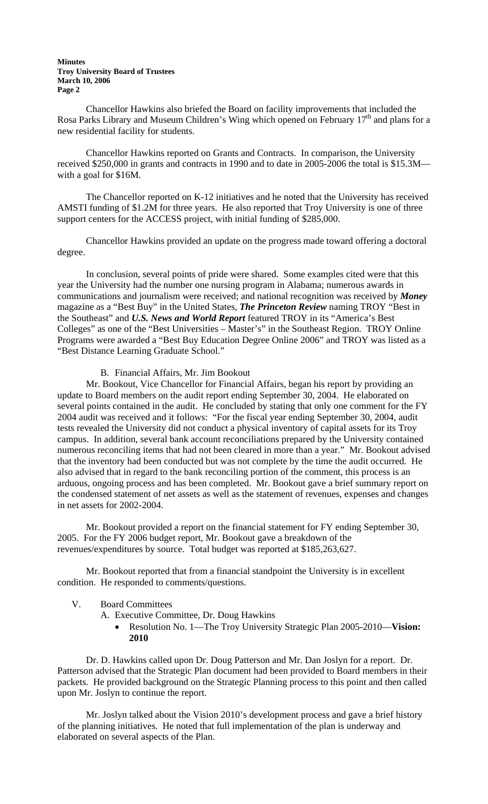#### **Minutes Troy University Board of Trustees March 10, 2006 Page 2**

Chancellor Hawkins also briefed the Board on facility improvements that included the Rosa Parks Library and Museum Children's Wing which opened on February 17<sup>th</sup> and plans for a new residential facility for students.

Chancellor Hawkins reported on Grants and Contracts. In comparison, the University received \$250,000 in grants and contracts in 1990 and to date in 2005-2006 the total is \$15.3M with a goal for \$16M.

 The Chancellor reported on K-12 initiatives and he noted that the University has received AMSTI funding of \$1.2M for three years. He also reported that Troy University is one of three support centers for the ACCESS project, with initial funding of \$285,000.

Chancellor Hawkins provided an update on the progress made toward offering a doctoral degree.

In conclusion, several points of pride were shared. Some examples cited were that this year the University had the number one nursing program in Alabama; numerous awards in communications and journalism were received; and national recognition was received by *Money* magazine as a "Best Buy" in the United States, *The Princeton Review* naming TROY "Best in the Southeast" and *U.S. News and World Report* featured TROY in its "America's Best Colleges" as one of the "Best Universities – Master's" in the Southeast Region. TROY Online Programs were awarded a "Best Buy Education Degree Online 2006" and TROY was listed as a "Best Distance Learning Graduate School."

#### B. Financial Affairs, Mr. Jim Bookout

Mr. Bookout, Vice Chancellor for Financial Affairs, began his report by providing an update to Board members on the audit report ending September 30, 2004. He elaborated on several points contained in the audit. He concluded by stating that only one comment for the FY 2004 audit was received and it follows: "For the fiscal year ending September 30, 2004, audit tests revealed the University did not conduct a physical inventory of capital assets for its Troy campus. In addition, several bank account reconciliations prepared by the University contained numerous reconciling items that had not been cleared in more than a year." Mr. Bookout advised that the inventory had been conducted but was not complete by the time the audit occurred. He also advised that in regard to the bank reconciling portion of the comment, this process is an arduous, ongoing process and has been completed. Mr. Bookout gave a brief summary report on the condensed statement of net assets as well as the statement of revenues, expenses and changes in net assets for 2002-2004.

 Mr. Bookout provided a report on the financial statement for FY ending September 30, 2005. For the FY 2006 budget report, Mr. Bookout gave a breakdown of the revenues/expenditures by source. Total budget was reported at \$185,263,627.

 Mr. Bookout reported that from a financial standpoint the University is in excellent condition. He responded to comments/questions.

- V. Board Committees
	- A. Executive Committee, Dr. Doug Hawkins
		- Resolution No. 1—The Troy University Strategic Plan 2005-2010—**Vision: 2010**

Dr. D. Hawkins called upon Dr. Doug Patterson and Mr. Dan Joslyn for a report. Dr. Patterson advised that the Strategic Plan document had been provided to Board members in their packets. He provided background on the Strategic Planning process to this point and then called upon Mr. Joslyn to continue the report.

 Mr. Joslyn talked about the Vision 2010's development process and gave a brief history of the planning initiatives. He noted that full implementation of the plan is underway and elaborated on several aspects of the Plan.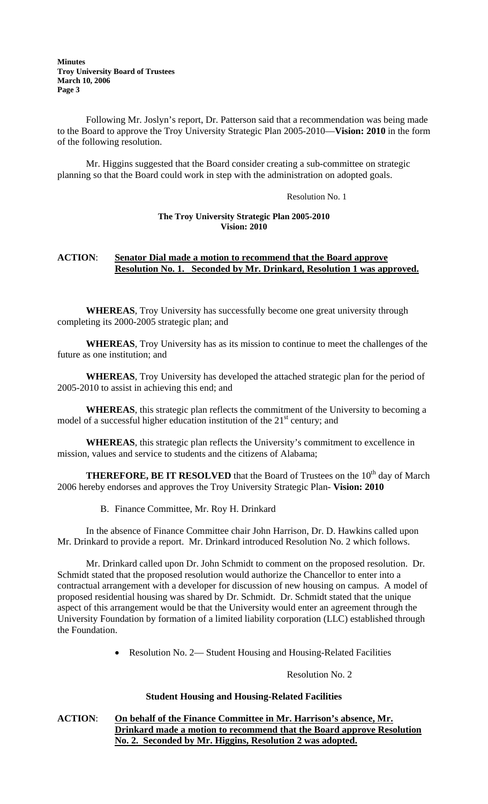Following Mr. Joslyn's report, Dr. Patterson said that a recommendation was being made to the Board to approve the Troy University Strategic Plan 2005-2010—**Vision: 2010** in the form of the following resolution.

 Mr. Higgins suggested that the Board consider creating a sub-committee on strategic planning so that the Board could work in step with the administration on adopted goals.

Resolution No. 1

#### **The Troy University Strategic Plan 2005-2010 Vision: 2010**

# **ACTION**: **Senator Dial made a motion to recommend that the Board approve Resolution No. 1. Seconded by Mr. Drinkard, Resolution 1 was approved.**

**WHEREAS**, Troy University has successfully become one great university through completing its 2000-2005 strategic plan; and

**WHEREAS**, Troy University has as its mission to continue to meet the challenges of the future as one institution; and

**WHEREAS**, Troy University has developed the attached strategic plan for the period of 2005-2010 to assist in achieving this end; and

**WHEREAS**, this strategic plan reflects the commitment of the University to becoming a model of a successful higher education institution of the  $21<sup>st</sup>$  century; and

**WHEREAS**, this strategic plan reflects the University's commitment to excellence in mission, values and service to students and the citizens of Alabama;

**THEREFORE, BE IT RESOLVED** that the Board of Trustees on the 10<sup>th</sup> day of March 2006 hereby endorses and approves the Troy University Strategic Plan- **Vision: 2010** 

B. Finance Committee, Mr. Roy H. Drinkard

In the absence of Finance Committee chair John Harrison, Dr. D. Hawkins called upon Mr. Drinkard to provide a report. Mr. Drinkard introduced Resolution No. 2 which follows.

 Mr. Drinkard called upon Dr. John Schmidt to comment on the proposed resolution. Dr. Schmidt stated that the proposed resolution would authorize the Chancellor to enter into a contractual arrangement with a developer for discussion of new housing on campus. A model of proposed residential housing was shared by Dr. Schmidt. Dr. Schmidt stated that the unique aspect of this arrangement would be that the University would enter an agreement through the University Foundation by formation of a limited liability corporation (LLC) established through the Foundation.

• Resolution No. 2— Student Housing and Housing-Related Facilities

Resolution No. 2

#### **Student Housing and Housing-Related Facilities**

# **ACTION**: **On behalf of the Finance Committee in Mr. Harrison's absence, Mr. Drinkard made a motion to recommend that the Board approve Resolution No. 2. Seconded by Mr. Higgins, Resolution 2 was adopted.**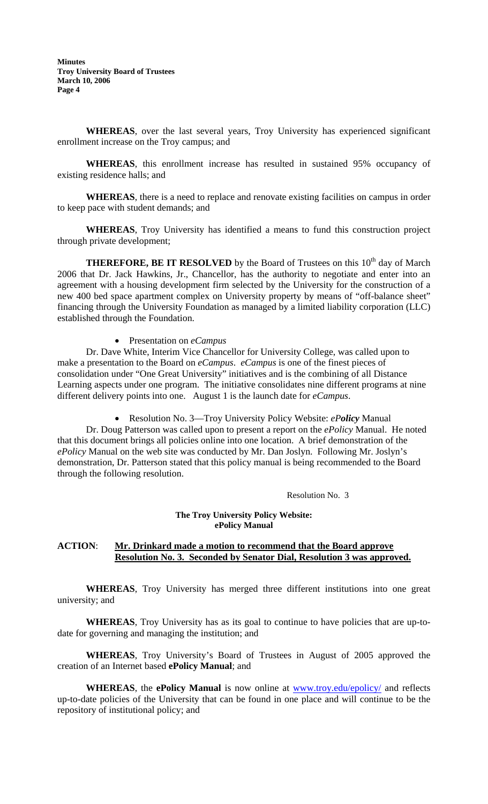**Minutes Troy University Board of Trustees March 10, 2006 Page 4** 

**WHEREAS**, over the last several years, Troy University has experienced significant enrollment increase on the Troy campus; and

**WHEREAS**, this enrollment increase has resulted in sustained 95% occupancy of existing residence halls; and

**WHEREAS**, there is a need to replace and renovate existing facilities on campus in order to keep pace with student demands; and

**WHEREAS**, Troy University has identified a means to fund this construction project through private development;

**THEREFORE, BE IT RESOLVED** by the Board of Trustees on this 10<sup>th</sup> day of March 2006 that Dr. Jack Hawkins, Jr., Chancellor, has the authority to negotiate and enter into an agreement with a housing development firm selected by the University for the construction of a new 400 bed space apartment complex on University property by means of "off-balance sheet" financing through the University Foundation as managed by a limited liability corporation (LLC) established through the Foundation.

• Presentation on *eCampus* 

Dr. Dave White, Interim Vice Chancellor for University College, was called upon to make a presentation to the Board on *eCampus*. *eCampus* is one of the finest pieces of consolidation under "One Great University" initiatives and is the combining of all Distance Learning aspects under one program. The initiative consolidates nine different programs at nine different delivery points into one. August 1 is the launch date for *eCampus*.

• Resolution No. 3—Troy University Policy Website: *ePolicy* Manual

Dr. Doug Patterson was called upon to present a report on the *ePolicy* Manual. He noted that this document brings all policies online into one location. A brief demonstration of the *ePolicy* Manual on the web site was conducted by Mr. Dan Joslyn. Following Mr. Joslyn's demonstration, Dr. Patterson stated that this policy manual is being recommended to the Board through the following resolution.

Resolution No. 3

#### **The Troy University Policy Website: ePolicy Manual**

#### **ACTION**: **Mr. Drinkard made a motion to recommend that the Board approve Resolution No. 3. Seconded by Senator Dial, Resolution 3 was approved.**

**WHEREAS**, Troy University has merged three different institutions into one great university; and

**WHEREAS**, Troy University has as its goal to continue to have policies that are up-todate for governing and managing the institution; and

**WHEREAS**, Troy University's Board of Trustees in August of 2005 approved the creation of an Internet based **ePolicy Manual**; and

**WHEREAS**, the **ePolicy Manual** is now online at [www.troy.edu/epolicy/](http://www.troy.edu/epolicy/) and reflects up-to-date policies of the University that can be found in one place and will continue to be the repository of institutional policy; and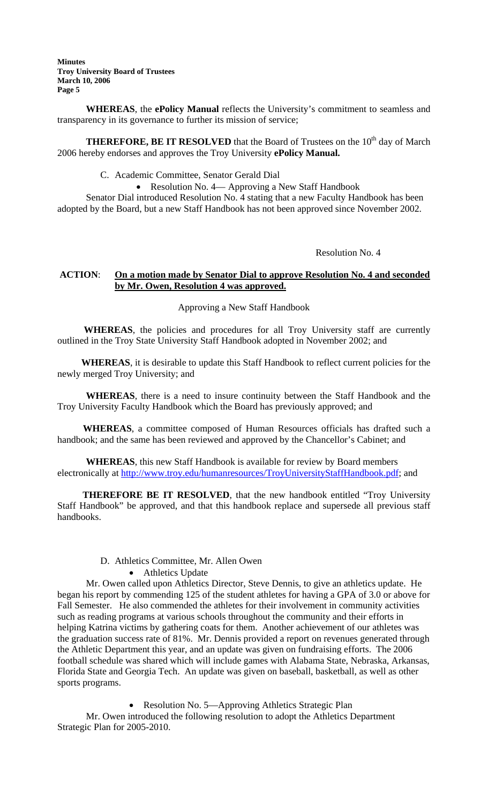**Minutes Troy University Board of Trustees March 10, 2006 Page 5** 

**WHEREAS**, the **ePolicy Manual** reflects the University's commitment to seamless and transparency in its governance to further its mission of service;

**THEREFORE, BE IT RESOLVED** that the Board of Trustees on the 10<sup>th</sup> day of March 2006 hereby endorses and approves the Troy University **ePolicy Manual.**

C. Academic Committee, Senator Gerald Dial

• Resolution No. 4— Approving a New Staff Handbook

Senator Dial introduced Resolution No. 4 stating that a new Faculty Handbook has been adopted by the Board, but a new Staff Handbook has not been approved since November 2002.

Resolution No. 4

# **ACTION**: **On a motion made by Senator Dial to approve Resolution No. 4 and seconded by Mr. Owen, Resolution 4 was approved.**

Approving a New Staff Handbook

 **WHEREAS**, the policies and procedures for all Troy University staff are currently outlined in the Troy State University Staff Handbook adopted in November 2002; and

 **WHEREAS**, it is desirable to update this Staff Handbook to reflect current policies for the newly merged Troy University; and

**WHEREAS**, there is a need to insure continuity between the Staff Handbook and the Troy University Faculty Handbook which the Board has previously approved; and

 **WHEREAS**, a committee composed of Human Resources officials has drafted such a handbook; and the same has been reviewed and approved by the Chancellor's Cabinet; and

**WHEREAS**, this new Staff Handbook is available for review by Board members electronically at<http://www.troy.edu/humanresources/TroyUniversityStaffHandbook.pdf>; and

 **THEREFORE BE IT RESOLVED**, that the new handbook entitled "Troy University Staff Handbook" be approved, and that this handbook replace and supersede all previous staff handbooks.

# D. Athletics Committee, Mr. Allen Owen

• Athletics Update

Mr. Owen called upon Athletics Director, Steve Dennis, to give an athletics update. He began his report by commending 125 of the student athletes for having a GPA of 3.0 or above for Fall Semester. He also commended the athletes for their involvement in community activities such as reading programs at various schools throughout the community and their efforts in helping Katrina victims by gathering coats for them. Another achievement of our athletes was the graduation success rate of 81%. Mr. Dennis provided a report on revenues generated through the Athletic Department this year, and an update was given on fundraising efforts. The 2006 football schedule was shared which will include games with Alabama State, Nebraska, Arkansas, Florida State and Georgia Tech. An update was given on baseball, basketball, as well as other sports programs.

• Resolution No. 5—Approving Athletics Strategic Plan Mr. Owen introduced the following resolution to adopt the Athletics Department Strategic Plan for 2005-2010.